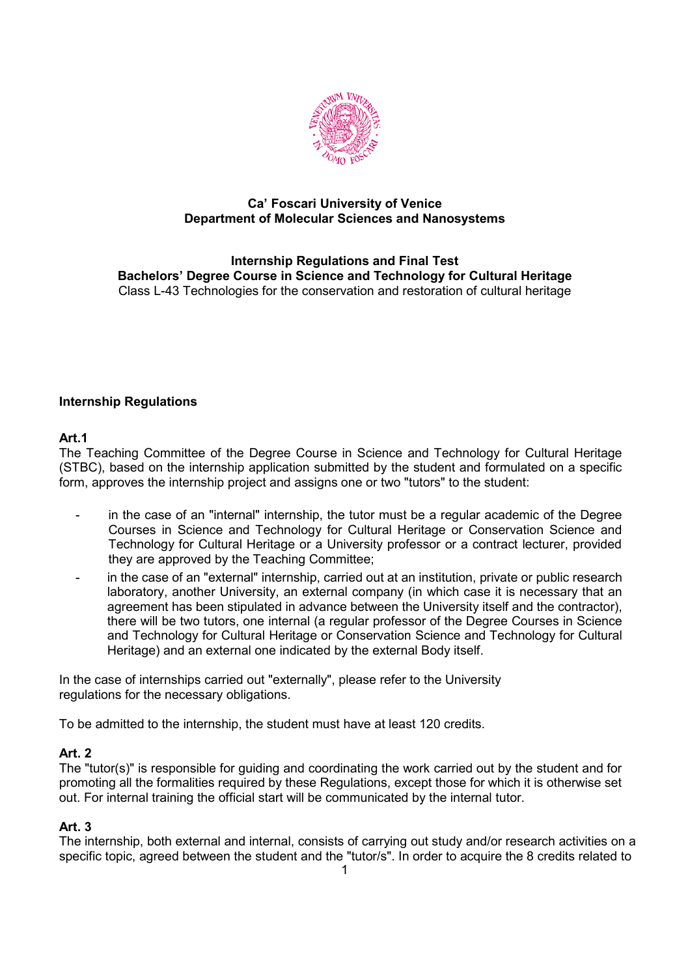

# **Ca' Foscari University of Venice Department of Molecular Sciences and Nanosystems**

**Internship Regulations and Final Test Bachelors' Degree Course in Science and Technology for Cultural Heritage** Class L-43 Technologies for the conservation and restoration of cultural heritage

# **Internship Regulations**

# **Art.1**

The Teaching Committee of the Degree Course in Science and Technology for Cultural Heritage (STBC), based on the internship application submitted by the student and formulated on a specific form, approves the internship project and assigns one or two "tutors" to the student:

- in the case of an "internal" internship, the tutor must be a regular academic of the Degree Courses in Science and Technology for Cultural Heritage or Conservation Science and Technology for Cultural Heritage or a University professor or a contract lecturer, provided they are approved by the Teaching Committee;
- in the case of an "external" internship, carried out at an institution, private or public research laboratory, another University, an external company (in which case it is necessary that an agreement has been stipulated in advance between the University itself and the contractor), there will be two tutors, one internal (a regular professor of the Degree Courses in Science and Technology for Cultural Heritage or Conservation Science and Technology for Cultural Heritage) and an external one indicated by the external Body itself.

In the case of internships carried out "externally", please refer to the University regulations for the necessary obligations.

To be admitted to the internship, the student must have at least 120 credits.

# **Art. 2**

The "tutor(s)" is responsible for guiding and coordinating the work carried out by the student and for promoting all the formalities required by these Regulations, except those for which it is otherwise set out. For internal training the official start will be communicated by the internal tutor.

# **Art. 3**

The internship, both external and internal, consists of carrying out study and/or research activities on a specific topic, agreed between the student and the "tutor/s". In order to acquire the 8 credits related to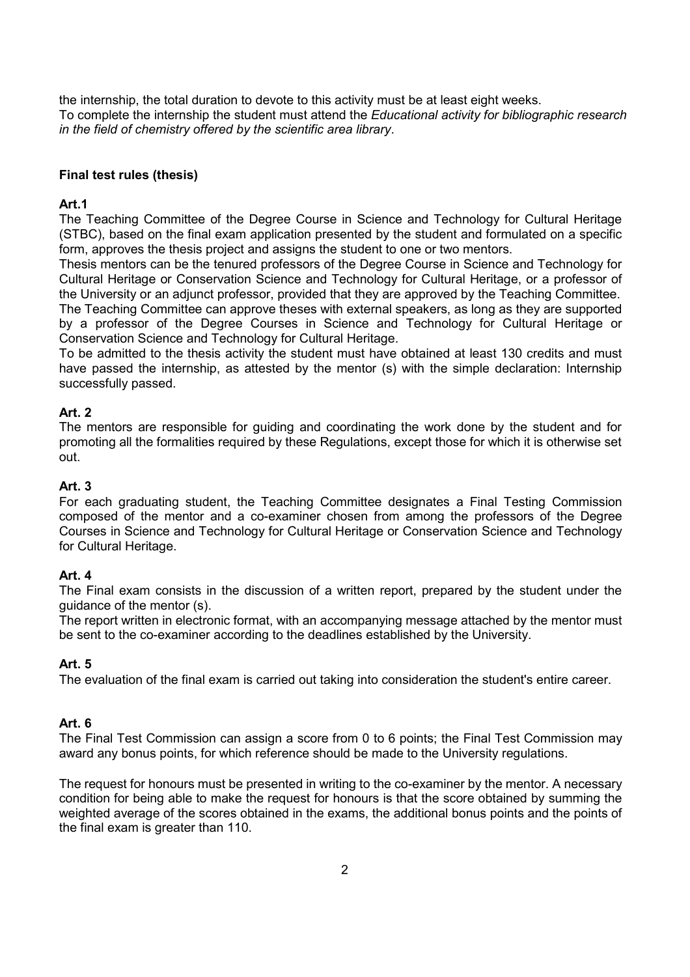the internship, the total duration to devote to this activity must be at least eight weeks. To complete the internship the student must attend the *Educational activity for bibliographic research in the field of chemistry offered by the scientific area library*.

### **Final test rules (thesis)**

### **Art.1**

The Teaching Committee of the Degree Course in Science and Technology for Cultural Heritage (STBC), based on the final exam application presented by the student and formulated on a specific form, approves the thesis project and assigns the student to one or two mentors.

Thesis mentors can be the tenured professors of the Degree Course in Science and Technology for Cultural Heritage or Conservation Science and Technology for Cultural Heritage, or a professor of the University or an adjunct professor, provided that they are approved by the Teaching Committee.

The Teaching Committee can approve theses with external speakers, as long as they are supported by a professor of the Degree Courses in Science and Technology for Cultural Heritage or Conservation Science and Technology for Cultural Heritage.

To be admitted to the thesis activity the student must have obtained at least 130 credits and must have passed the internship, as attested by the mentor (s) with the simple declaration: Internship successfully passed.

## **Art. 2**

The mentors are responsible for guiding and coordinating the work done by the student and for promoting all the formalities required by these Regulations, except those for which it is otherwise set out.

## **Art. 3**

For each graduating student, the Teaching Committee designates a Final Testing Commission composed of the mentor and a co-examiner chosen from among the professors of the Degree Courses in Science and Technology for Cultural Heritage or Conservation Science and Technology for Cultural Heritage.

### **Art. 4**

The Final exam consists in the discussion of a written report, prepared by the student under the guidance of the mentor (s).

The report written in electronic format, with an accompanying message attached by the mentor must be sent to the co-examiner according to the deadlines established by the University.

# **Art. 5**

The evaluation of the final exam is carried out taking into consideration the student's entire career.

### **Art. 6**

The Final Test Commission can assign a score from 0 to 6 points; the Final Test Commission may award any bonus points, for which reference should be made to the University regulations.

The request for honours must be presented in writing to the co-examiner by the mentor. A necessary condition for being able to make the request for honours is that the score obtained by summing the weighted average of the scores obtained in the exams, the additional bonus points and the points of the final exam is greater than 110.